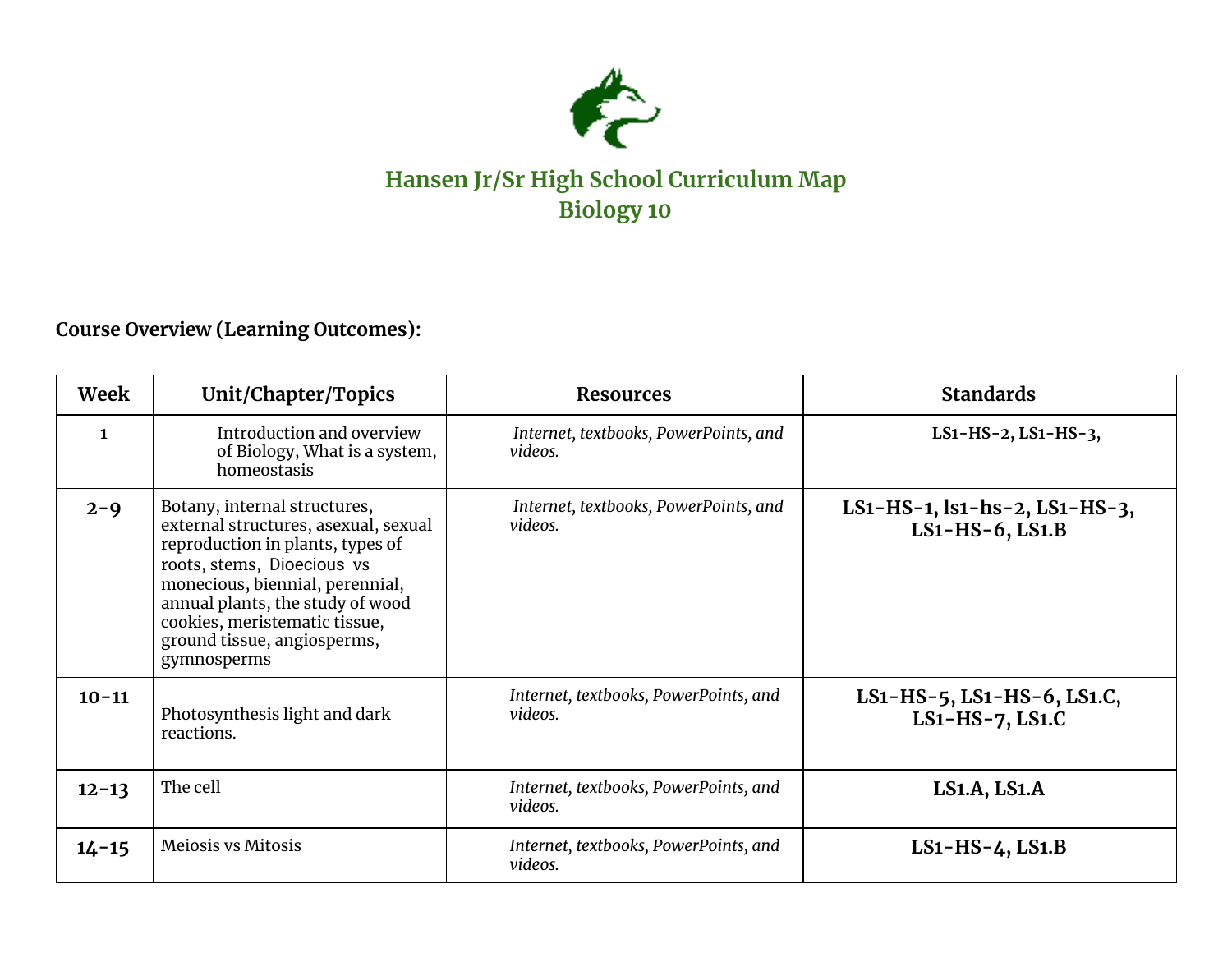

## **Hansen Jr/Sr High School Curriculum Map Biology 10**

## **Course Overview (Learning Outcomes):**

| Week         | Unit/Chapter/Topics                                                                                                                                                                                                                                                                          | <b>Resources</b>                                 | <b>Standards</b>                                             |
|--------------|----------------------------------------------------------------------------------------------------------------------------------------------------------------------------------------------------------------------------------------------------------------------------------------------|--------------------------------------------------|--------------------------------------------------------------|
| $\mathbf{1}$ | Introduction and overview<br>of Biology, What is a system,<br>homeostasis                                                                                                                                                                                                                    | Internet, textbooks, PowerPoints, and<br>videos. | $LS1-HS-2, LS1-HS-3,$                                        |
| $2 - 9$      | Botany, internal structures,<br>external structures, asexual, sexual<br>reproduction in plants, types of<br>roots, stems, Dioecious vs<br>monecious, biennial, perennial,<br>annual plants, the study of wood<br>cookies, meristematic tissue,<br>ground tissue, angiosperms,<br>gymnosperms | Internet, textbooks, PowerPoints, and<br>videos. | LS1-HS-1, $\text{ls1-hs-2}$ , LS1-HS-3,<br>$LS1-HS-6, LS1.B$ |
| $10 - 11$    | Photosynthesis light and dark<br>reactions.                                                                                                                                                                                                                                                  | Internet, textbooks, PowerPoints, and<br>videos. | $LS1-HS-5$ , $LS1-HS-6$ , $LS1.C$ ,<br>$LS1-HS-7, LS1.C$     |
| $12 - 13$    | The cell                                                                                                                                                                                                                                                                                     | Internet, textbooks, PowerPoints, and<br>videos. | LS1.A, LS1.A                                                 |
| $14 - 15$    | Meiosis vs Mitosis                                                                                                                                                                                                                                                                           | Internet, textbooks, PowerPoints, and<br>videos. | $LS1-HS-4, LS1.B$                                            |